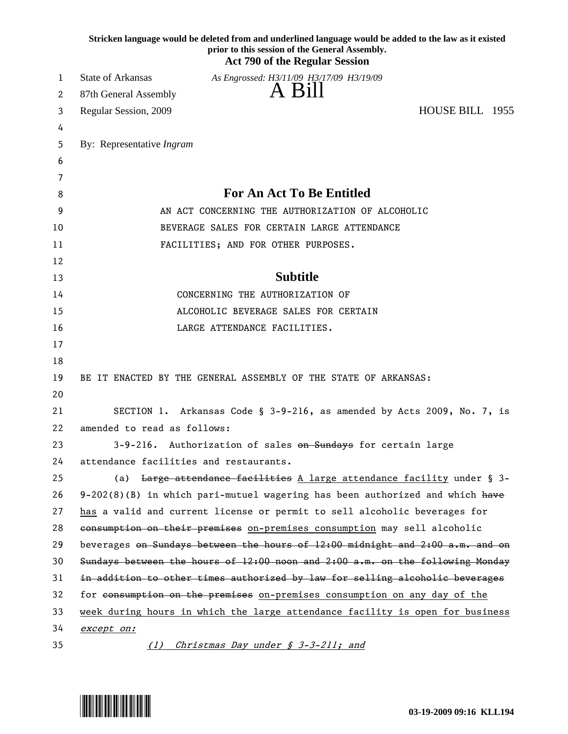|    | Stricken language would be deleted from and underlined language would be added to the law as it existed<br>prior to this session of the General Assembly.<br><b>Act 790 of the Regular Session</b> |
|----|----------------------------------------------------------------------------------------------------------------------------------------------------------------------------------------------------|
| 1  | State of Arkansas<br>As Engrossed: H3/11/09 H3/17/09 H3/19/09                                                                                                                                      |
| 2  | A Bill<br>87th General Assembly                                                                                                                                                                    |
| 3  | HOUSE BILL 1955<br>Regular Session, 2009                                                                                                                                                           |
| 4  |                                                                                                                                                                                                    |
| 5  | By: Representative Ingram                                                                                                                                                                          |
| 6  |                                                                                                                                                                                                    |
| 7  |                                                                                                                                                                                                    |
| 8  | <b>For An Act To Be Entitled</b>                                                                                                                                                                   |
| 9  | AN ACT CONCERNING THE AUTHORIZATION OF ALCOHOLIC                                                                                                                                                   |
| 10 | BEVERAGE SALES FOR CERTAIN LARGE ATTENDANCE                                                                                                                                                        |
| 11 | FACILITIES; AND FOR OTHER PURPOSES.                                                                                                                                                                |
| 12 |                                                                                                                                                                                                    |
| 13 | <b>Subtitle</b>                                                                                                                                                                                    |
| 14 | CONCERNING THE AUTHORIZATION OF                                                                                                                                                                    |
| 15 | ALCOHOLIC BEVERAGE SALES FOR CERTAIN                                                                                                                                                               |
| 16 | LARGE ATTENDANCE FACILITIES.                                                                                                                                                                       |
| 17 |                                                                                                                                                                                                    |
| 18 |                                                                                                                                                                                                    |
| 19 | BE IT ENACTED BY THE GENERAL ASSEMBLY OF THE STATE OF ARKANSAS:                                                                                                                                    |
| 20 |                                                                                                                                                                                                    |
| 21 | SECTION 1. Arkansas Code § 3-9-216, as amended by Acts 2009, No. 7, is                                                                                                                             |
| 22 | amended to read as follows:                                                                                                                                                                        |
| 23 | 3-9-216. Authorization of sales on Sundays for certain large                                                                                                                                       |
| 24 | attendance facilities and restaurants.                                                                                                                                                             |
| 25 | Large attendance facilities A large attendance facility under § 3-<br>(a)                                                                                                                          |
| 26 | $9-202(8)(B)$ in which pari-mutuel wagering has been authorized and which have                                                                                                                     |
| 27 | has a valid and current license or permit to sell alcoholic beverages for                                                                                                                          |
| 28 | consumption on their premises on-premises consumption may sell alcoholic                                                                                                                           |
| 29 | beverages on Sundays between the hours of 12:00 midnight and 2:00 a.m. and on                                                                                                                      |
| 30 | Sundays between the hours of $12:00$ noon and $2:00$ a.m. on the following Monday                                                                                                                  |
| 31 | in addition to other times authorized by law for selling alcoholic beverages                                                                                                                       |
| 32 | for consumption on the premises on-premises consumption on any day of the                                                                                                                          |
| 33 | week during hours in which the large attendance facility is open for business                                                                                                                      |
| 34 | except on:                                                                                                                                                                                         |
| 35 | Christmas Day under § 3-3-211; and<br>(1)                                                                                                                                                          |